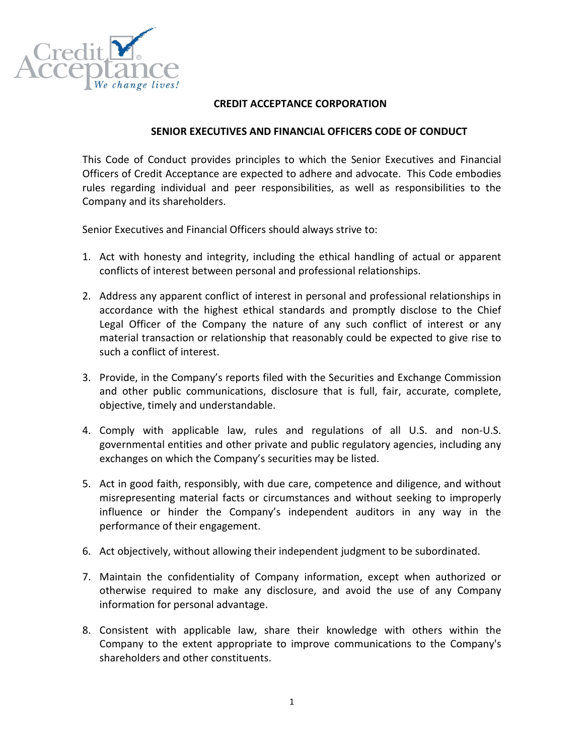

## CREDIT ACCEPTANCE CORPORATION

## SENIOR EXECUTIVES AND FINANCIAL OFFICERS CODE OF CONDUCT

This Code of Conduct provides principles to which the Senior Executives and Financial Officers of Credit Acceptance are expected to adhere and advocate. This Code embodies rules regarding individual and peer responsibilities, as well as responsibilities to the Company and its shareholders.

Senior Executives and Financial Officers should always strive to:

- 1. Act with honesty and integrity, including the ethical handling of actual or apparent conflicts of interest between personal and professional relationships.
- 2. Address any apparent conflict of interest in personal and professional relationships in accordance with the highest ethical standards and promptly disclose to the Chief Legal Officer of the Company the nature of any such conflict of interest or any material transaction or relationship that reasonably could be expected to give rise to such a conflict of interest.
- 3. Provide, in the Company's reports filed with the Securities and Exchange Commission and other public communications, disclosure that is full, fair, accurate, complete, objective, timely and understandable.
- 4. Comply with applicable law, rules and regulations of all U.S. and non-U.S. governmental entities and other private and public regulatory agencies, including any exchanges on which the Company's securities may be listed.
- 5. Act in good faith, responsibly, with due care, competence and diligence, and without misrepresenting material facts or circumstances and without seeking to improperly influence or hinder the Company's independent auditors in any way in the performance of their engagement.
- 6. Act objectively, without allowing their independent judgment to be subordinated.
- 7. Maintain the confidentiality of Company information, except when authorized or otherwise required to make any disclosure, and avoid the use of any Company information for personal advantage.
- 8. Consistent with applicable law, share their knowledge with others within the Company to the extent appropriate to improve communications to the Company's shareholders and other constituents.